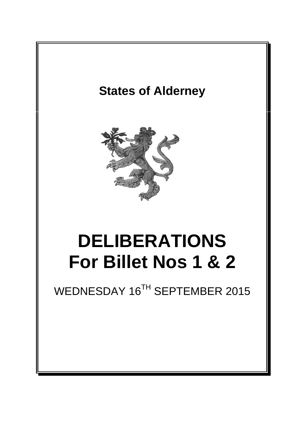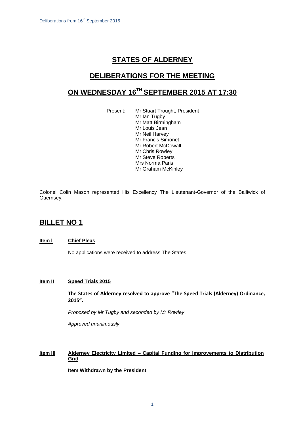# **STATES OF ALDERNEY**

# **DELIBERATIONS FOR THE MEETING**

# **ON WEDNESDAY 16TH SEPTEMBER 2015 AT 17:30**

Present: Mr Stuart Trought, President Mr Ian Tugby Mr Matt Birmingham Mr Louis Jean Mr Neil Harvey Mr Francis Simonet Mr Robert McDowall Mr Chris Rowley Mr Steve Roberts Mrs Norma Paris Mr Graham McKinley

Colonel Colin Mason represented His Excellency The Lieutenant-Governor of the Bailiwick of Guernsey.

## **BILLET NO 1**

#### **Item l Chief Pleas**

No applications were received to address The States.

### **Item II Speed Trials 2015**

**The States of Alderney resolved to approve "The Speed Trials (Alderney) Ordinance, 2015".**

*Proposed by Mr Tugby and seconded by Mr Rowley*

*Approved unanimously*

## **Item III Alderney Electricity Limited – Capital Funding for Improvements to Distribution Grid**

**Item Withdrawn by the President**